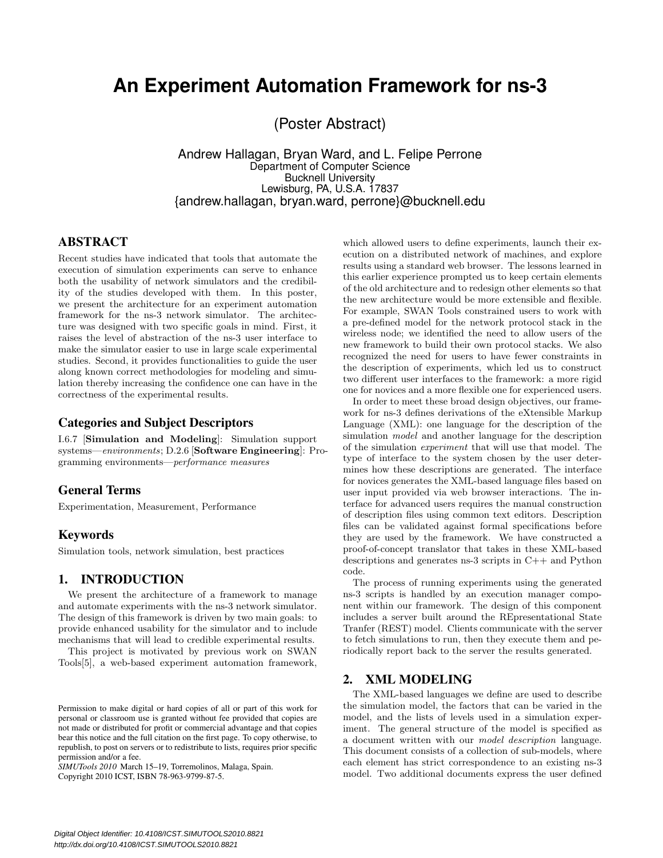# **An Experiment Automation Framework for ns-3**

(Poster Abstract)

Andrew Hallagan, Bryan Ward, and L. Felipe Perrone Department of Computer Science Bucknell University Lewisburg, PA, U.S.A. 17837 {andrew.hallagan, bryan.ward, perrone}@bucknell.edu

## ABSTRACT

Recent studies have indicated that tools that automate the execution of simulation experiments can serve to enhance both the usability of network simulators and the credibility of the studies developed with them. In this poster, we present the architecture for an experiment automation framework for the ns-3 network simulator. The architecture was designed with two specific goals in mind. First, it raises the level of abstraction of the ns-3 user interface to make the simulator easier to use in large scale experimental studies. Second, it provides functionalities to guide the user along known correct methodologies for modeling and simulation thereby increasing the confidence one can have in the correctness of the experimental results.

# Categories and Subject Descriptors

I.6.7 [Simulation and Modeling]: Simulation support systems—environments; D.2.6 [Software Engineering]: Programming environments—performance measures

## General Terms

Experimentation, Measurement, Performance

## Keywords

Simulation tools, network simulation, best practices

#### 1. INTRODUCTION

We present the architecture of a framework to manage and automate experiments with the ns-3 network simulator. The design of this framework is driven by two main goals: to provide enhanced usability for the simulator and to include mechanisms that will lead to credible experimental results.

This project is motivated by previous work on SWAN Tools[5], a web-based experiment automation framework,

*SIMUTools 2010* March 15–19, Torremolinos, Malaga, Spain. Copyright 2010 ICST, ISBN 78-963-9799-87-5.

which allowed users to define experiments, launch their execution on a distributed network of machines, and explore results using a standard web browser. The lessons learned in this earlier experience prompted us to keep certain elements of the old architecture and to redesign other elements so that the new architecture would be more extensible and flexible. For example, SWAN Tools constrained users to work with a pre-defined model for the network protocol stack in the wireless node; we identified the need to allow users of the new framework to build their own protocol stacks. We also recognized the need for users to have fewer constraints in the description of experiments, which led us to construct two different user interfaces to the framework: a more rigid one for novices and a more flexible one for experienced users.

In order to meet these broad design objectives, our framework for ns-3 defines derivations of the eXtensible Markup Language (XML): one language for the description of the simulation *model* and another language for the description of the simulation experiment that will use that model. The type of interface to the system chosen by the user determines how these descriptions are generated. The interface for novices generates the XML-based language files based on user input provided via web browser interactions. The interface for advanced users requires the manual construction of description files using common text editors. Description files can be validated against formal specifications before they are used by the framework. We have constructed a proof-of-concept translator that takes in these XML-based descriptions and generates ns-3 scripts in C++ and Python code.

The process of running experiments using the generated ns-3 scripts is handled by an execution manager component within our framework. The design of this component includes a server built around the REpresentational State Tranfer (REST) model. Clients communicate with the server to fetch simulations to run, then they execute them and periodically report back to the server the results generated.

#### 2. XML MODELING

The XML-based languages we define are used to describe the simulation model, the factors that can be varied in the model, and the lists of levels used in a simulation experiment. The general structure of the model is specified as a document written with our model description language. This document consists of a collection of sub-models, where each element has strict correspondence to an existing ns-3 model. Two additional documents express the user defined

Permission to make digital or hard copies of all or part of this work for personal or classroom use is granted without fee provided that copies are not made or distributed for profit or commercial advantage and that copies bear this notice and the full citation on the first page. To copy otherwise, to republish, to post on servers or to redistribute to lists, requires prior specific permission and/or a fee.